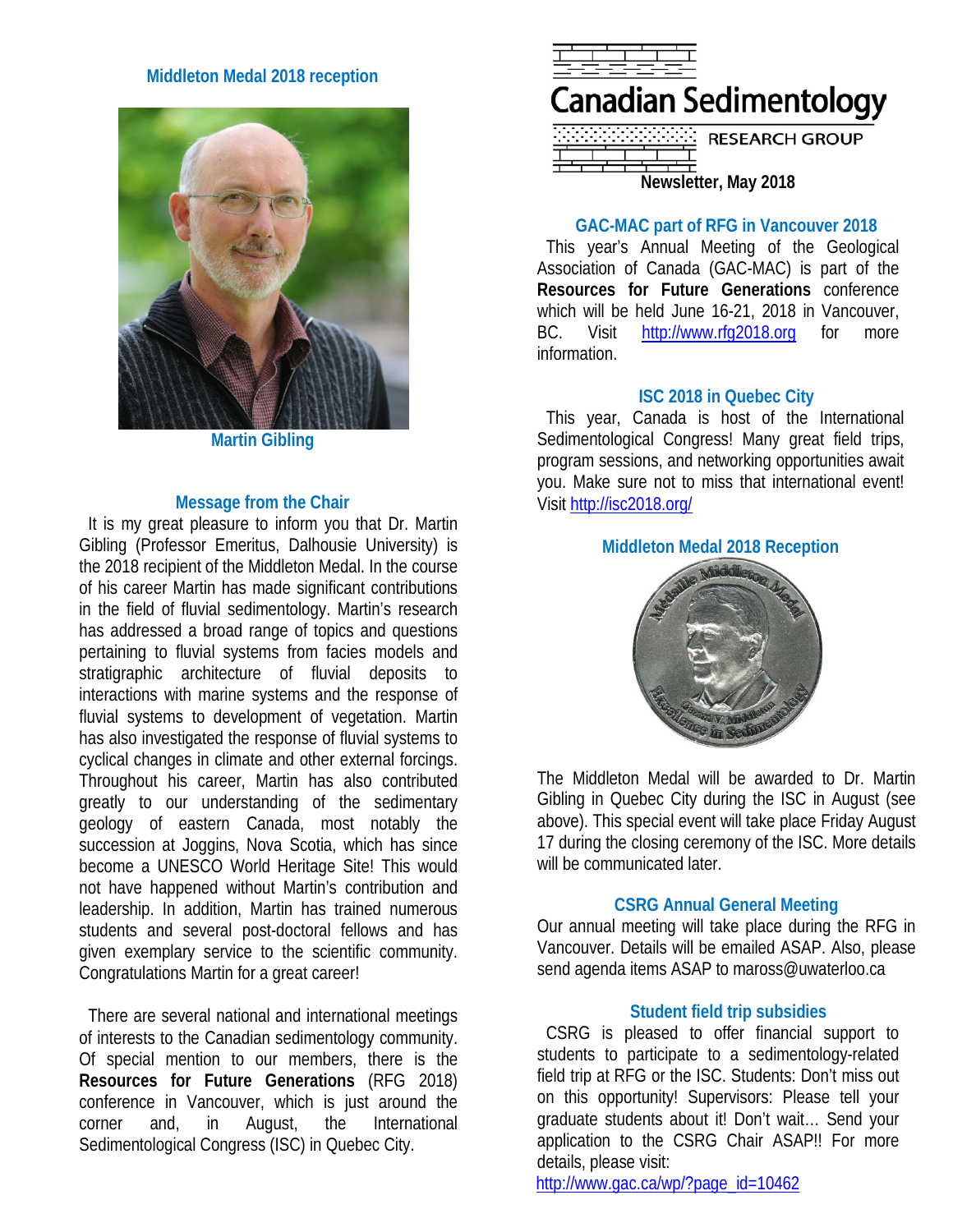## **Middleton Medal 2018 reception**



**Martin Gibling**

#### **Message from the Chair**

It is my great pleasure to inform you that Dr. Martin Gibling (Professor Emeritus, Dalhousie University) is the 2018 recipient of the Middleton Medal. In the course of his career Martin has made significant contributions in the field of fluvial sedimentology. Martin's research has addressed a broad range of topics and questions pertaining to fluvial systems from facies models and stratigraphic architecture of fluvial deposits to interactions with marine systems and the response of fluvial systems to development of vegetation. Martin has also investigated the response of fluvial systems to cyclical changes in climate and other external forcings. Throughout his career, Martin has also contributed greatly to our understanding of the sedimentary geology of eastern Canada, most notably the succession at Joggins, Nova Scotia, which has since become a UNESCO World Heritage Site! This would not have happened without Martin's contribution and leadership. In addition, Martin has trained numerous students and several post-doctoral fellows and has given exemplary service to the scientific community. Congratulations Martin for a great career!

There are several national and international meetings of interests to the Canadian sedimentology community. Of special mention to our members, there is the **Resources for Future Generations** (RFG 2018) conference in Vancouver, which is just around the corner and, in August, the International Sedimentological Congress (ISC) in Quebec City.



**Newsletter, May 2018**

## **GAC-MAC part of RFG in Vancouver 2018**

This year's Annual Meeting of the Geological Association of Canada (GAC-MAC) is part of the **Resources for Future Generations** conference which will be held June 16-21, 2018 in Vancouver, BC. Visit [http://www.rfg2018.org](http://www.rfg2018.org/) for more information.

## **ISC 2018 in Quebec City**

This year, Canada is host of the International Sedimentological Congress! Many great field trips, program sessions, and networking opportunities await you. Make sure not to miss that international event! Visit<http://isc2018.org/>

# **Middleton Medal 2018 Reception**



The Middleton Medal will be awarded to Dr. Martin Gibling in Quebec City during the ISC in August (see above). This special event will take place Friday August 17 during the closing ceremony of the ISC. More details will be communicated later.

### **CSRG Annual General Meeting**

Our annual meeting will take place during the RFG in Vancouver. Details will be emailed ASAP. Also, please send agenda items ASAP to maross@uwaterloo.ca

### **Student field trip subsidies**

CSRG is pleased to offer financial support to students to participate to a sedimentology-related field trip at RFG or the ISC. Students: Don't miss out on this opportunity! Supervisors: Please tell your graduate students about it! Don't wait… Send your application to the CSRG Chair ASAP!! For more details, please visit:

[http://www.gac.ca/wp/?page\\_id=10462](http://www.gac.ca/wp/?page_id=10462)